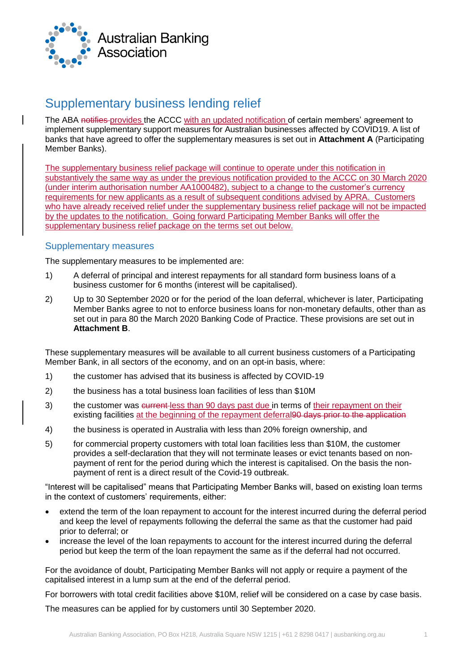

# Supplementary business lending relief

The ABA notifies provides the ACCC with an updated notification of certain members' agreement to implement supplementary support measures for Australian businesses affected by COVID19. A list of banks that have agreed to offer the supplementary measures is set out in **Attachment A** (Participating Member Banks).

The supplementary business relief package will continue to operate under this notification in substantively the same way as under the previous notification provided to the ACCC on 30 March 2020 (under interim authorisation number AA1000482), subject to a change to the customer's currency requirements for new applicants as a result of subsequent conditions advised by APRA. Customers who have already received relief under the supplementary business relief package will not be impacted by the updates to the notification. Going forward Participating Member Banks will offer the supplementary business relief package on the terms set out below.

#### Supplementary measures

The supplementary measures to be implemented are:

- 1) A deferral of principal and interest repayments for all standard form business loans of a business customer for 6 months (interest will be capitalised).
- 2) Up to 30 September 2020 or for the period of the loan deferral, whichever is later, Participating Member Banks agree to not to enforce business loans for non-monetary defaults, other than as set out in para 80 the March 2020 Banking Code of Practice. These provisions are set out in **Attachment B**.

These supplementary measures will be available to all current business customers of a Participating Member Bank, in all sectors of the economy, and on an opt-in basis, where:

- 1) the customer has advised that its business is affected by COVID-19
- 2) the business has a total business loan facilities of less than \$10M
- 3) the customer was eurrent less than 90 days past due in terms of their repayment on their existing facilities at the beginning of the repayment deferral 90 days prior to the application
- 4) the business is operated in Australia with less than 20% foreign ownership, and
- 5) for commercial property customers with total loan facilities less than \$10M, the customer provides a self-declaration that they will not terminate leases or evict tenants based on nonpayment of rent for the period during which the interest is capitalised. On the basis the nonpayment of rent is a direct result of the Covid-19 outbreak.

"Interest will be capitalised" means that Participating Member Banks will, based on existing loan terms in the context of customers' requirements, either:

- extend the term of the loan repayment to account for the interest incurred during the deferral period and keep the level of repayments following the deferral the same as that the customer had paid prior to deferral; or
- increase the level of the loan repayments to account for the interest incurred during the deferral period but keep the term of the loan repayment the same as if the deferral had not occurred.

For the avoidance of doubt, Participating Member Banks will not apply or require a payment of the capitalised interest in a lump sum at the end of the deferral period.

For borrowers with total credit facilities above \$10M, relief will be considered on a case by case basis.

The measures can be applied for by customers until 30 September 2020.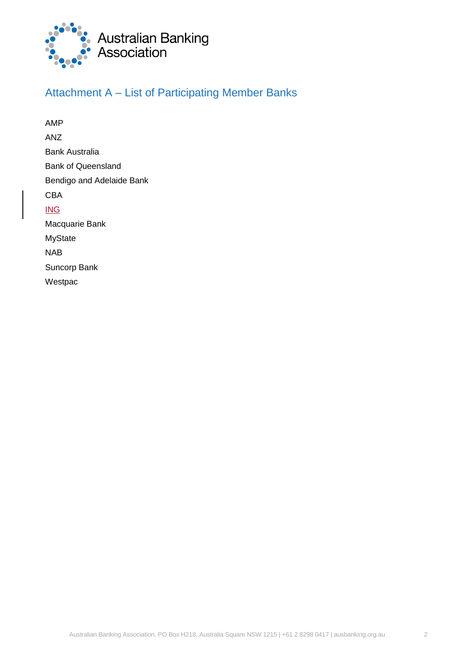

## Attachment A – List of Participating Member Banks

AMP ANZ Bank Australia Bank of Queensland Bendigo and Adelaide Bank CBA ING Macquarie Bank MyState NAB Suncorp Bank Westpac